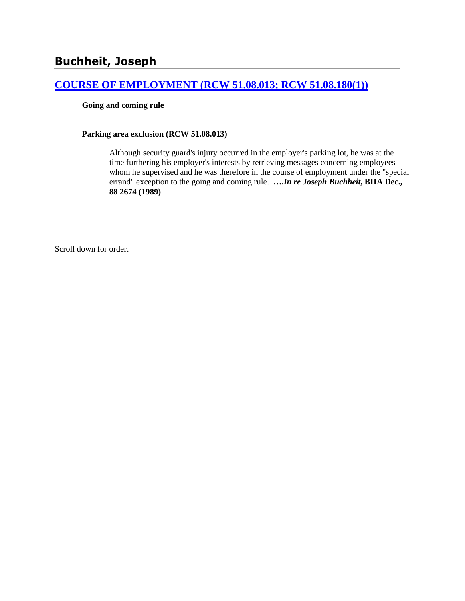# **[COURSE OF EMPLOYMENT \(RCW 51.08.013; RCW 51.08.180\(1\)\)](http://www.biia.wa.gov/SDSubjectIndex.html#COURSE_OF_EMPLOYMENT)**

#### **Going and coming rule**

#### **Parking area exclusion (RCW 51.08.013)**

Although security guard's injury occurred in the employer's parking lot, he was at the time furthering his employer's interests by retrieving messages concerning employees whom he supervised and he was therefore in the course of employment under the "special errand" exception to the going and coming rule. **….***In re Joseph Buchheit***, BIIA Dec., 88 2674 (1989)** 

Scroll down for order.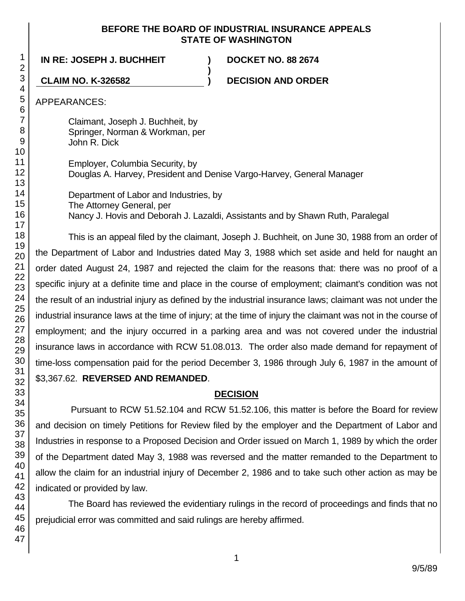## **BEFORE THE BOARD OF INDUSTRIAL INSURANCE APPEALS STATE OF WASHINGTON**

**IN RE: JOSEPH J. BUCHHEIT ) DOCKET NO. 88 2674**

**CLAIM NO. K-326582 ) DECISION AND ORDER**

APPEARANCES:

Claimant, Joseph J. Buchheit, by Springer, Norman & Workman, per John R. Dick

Employer, Columbia Security, by Douglas A. Harvey, President and Denise Vargo-Harvey, General Manager

**)**

Department of Labor and Industries, by The Attorney General, per Nancy J. Hovis and Deborah J. Lazaldi, Assistants and by Shawn Ruth, Paralegal

This is an appeal filed by the claimant, Joseph J. Buchheit, on June 30, 1988 from an order of the Department of Labor and Industries dated May 3, 1988 which set aside and held for naught an order dated August 24, 1987 and rejected the claim for the reasons that: there was no proof of a specific injury at a definite time and place in the course of employment; claimant's condition was not the result of an industrial injury as defined by the industrial insurance laws; claimant was not under the industrial insurance laws at the time of injury; at the time of injury the claimant was not in the course of employment; and the injury occurred in a parking area and was not covered under the industrial insurance laws in accordance with RCW 51.08.013. The order also made demand for repayment of time-loss compensation paid for the period December 3, 1986 through July 6, 1987 in the amount of \$3,367.62. **REVERSED AND REMANDED**.

# **DECISION**

Pursuant to RCW 51.52.104 and RCW 51.52.106, this matter is before the Board for review and decision on timely Petitions for Review filed by the employer and the Department of Labor and Industries in response to a Proposed Decision and Order issued on March 1, 1989 by which the order of the Department dated May 3, 1988 was reversed and the matter remanded to the Department to allow the claim for an industrial injury of December 2, 1986 and to take such other action as may be indicated or provided by law.

The Board has reviewed the evidentiary rulings in the record of proceedings and finds that no prejudicial error was committed and said rulings are hereby affirmed.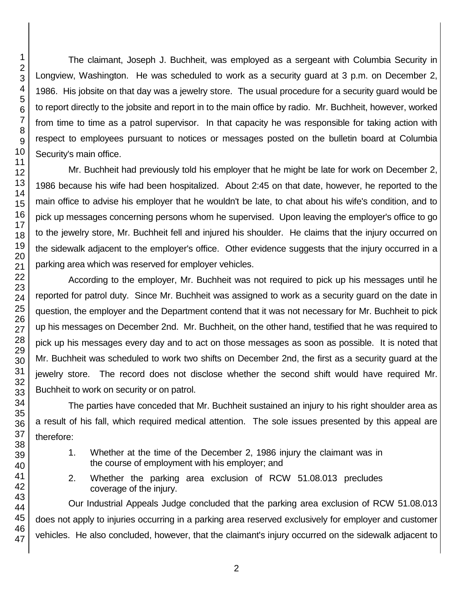The claimant, Joseph J. Buchheit, was employed as a sergeant with Columbia Security in Longview, Washington. He was scheduled to work as a security guard at 3 p.m. on December 2, 1986. His jobsite on that day was a jewelry store. The usual procedure for a security guard would be to report directly to the jobsite and report in to the main office by radio. Mr. Buchheit, however, worked from time to time as a patrol supervisor. In that capacity he was responsible for taking action with respect to employees pursuant to notices or messages posted on the bulletin board at Columbia Security's main office.

Mr. Buchheit had previously told his employer that he might be late for work on December 2, 1986 because his wife had been hospitalized. About 2:45 on that date, however, he reported to the main office to advise his employer that he wouldn't be late, to chat about his wife's condition, and to pick up messages concerning persons whom he supervised. Upon leaving the employer's office to go to the jewelry store, Mr. Buchheit fell and injured his shoulder. He claims that the injury occurred on the sidewalk adjacent to the employer's office. Other evidence suggests that the injury occurred in a parking area which was reserved for employer vehicles.

According to the employer, Mr. Buchheit was not required to pick up his messages until he reported for patrol duty. Since Mr. Buchheit was assigned to work as a security guard on the date in question, the employer and the Department contend that it was not necessary for Mr. Buchheit to pick up his messages on December 2nd. Mr. Buchheit, on the other hand, testified that he was required to pick up his messages every day and to act on those messages as soon as possible. It is noted that Mr. Buchheit was scheduled to work two shifts on December 2nd, the first as a security guard at the jewelry store. The record does not disclose whether the second shift would have required Mr. Buchheit to work on security or on patrol.

The parties have conceded that Mr. Buchheit sustained an injury to his right shoulder area as a result of his fall, which required medical attention. The sole issues presented by this appeal are therefore:

- 1. Whether at the time of the December 2, 1986 injury the claimant was in the course of employment with his employer; and
- 2. Whether the parking area exclusion of RCW 51.08.013 precludes coverage of the injury.

Our Industrial Appeals Judge concluded that the parking area exclusion of RCW 51.08.013 does not apply to injuries occurring in a parking area reserved exclusively for employer and customer vehicles. He also concluded, however, that the claimant's injury occurred on the sidewalk adjacent to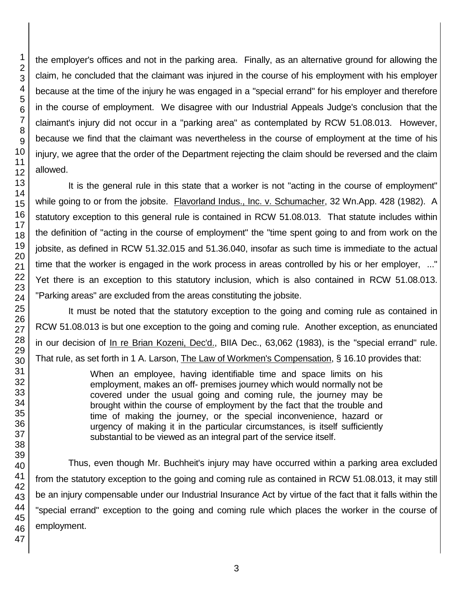the employer's offices and not in the parking area. Finally, as an alternative ground for allowing the claim, he concluded that the claimant was injured in the course of his employment with his employer because at the time of the injury he was engaged in a "special errand" for his employer and therefore in the course of employment. We disagree with our Industrial Appeals Judge's conclusion that the claimant's injury did not occur in a "parking area" as contemplated by RCW 51.08.013. However, because we find that the claimant was nevertheless in the course of employment at the time of his injury, we agree that the order of the Department rejecting the claim should be reversed and the claim allowed.

It is the general rule in this state that a worker is not "acting in the course of employment" while going to or from the jobsite. Flavorland Indus., Inc. v. Schumacher, 32 Wn.App. 428 (1982). A statutory exception to this general rule is contained in RCW 51.08.013. That statute includes within the definition of "acting in the course of employment" the "time spent going to and from work on the jobsite, as defined in RCW 51.32.015 and 51.36.040, insofar as such time is immediate to the actual time that the worker is engaged in the work process in areas controlled by his or her employer, ..." Yet there is an exception to this statutory inclusion, which is also contained in RCW 51.08.013. "Parking areas" are excluded from the areas constituting the jobsite.

It must be noted that the statutory exception to the going and coming rule as contained in RCW 51.08.013 is but one exception to the going and coming rule. Another exception, as enunciated in our decision of In re Brian Kozeni, Dec'd., BIIA Dec., 63,062 (1983), is the "special errand" rule. That rule, as set forth in 1 A. Larson, The Law of Workmen's Compensation, § 16.10 provides that:

> When an employee, having identifiable time and space limits on his employment, makes an off- premises journey which would normally not be covered under the usual going and coming rule, the journey may be brought within the course of employment by the fact that the trouble and time of making the journey, or the special inconvenience, hazard or urgency of making it in the particular circumstances, is itself sufficiently substantial to be viewed as an integral part of the service itself.

Thus, even though Mr. Buchheit's injury may have occurred within a parking area excluded from the statutory exception to the going and coming rule as contained in RCW 51.08.013, it may still be an injury compensable under our Industrial Insurance Act by virtue of the fact that it falls within the "special errand" exception to the going and coming rule which places the worker in the course of employment.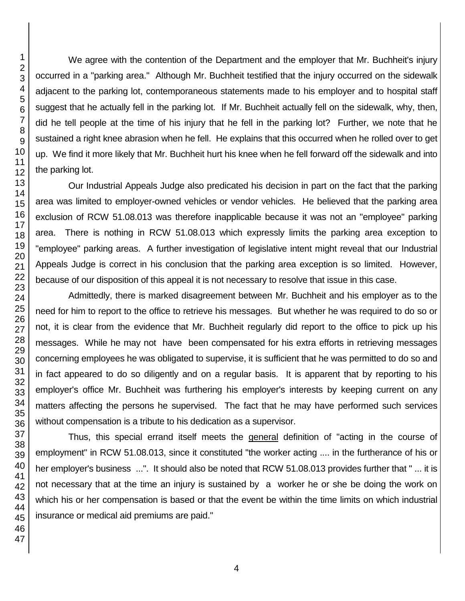We agree with the contention of the Department and the employer that Mr. Buchheit's injury occurred in a "parking area." Although Mr. Buchheit testified that the injury occurred on the sidewalk adjacent to the parking lot, contemporaneous statements made to his employer and to hospital staff suggest that he actually fell in the parking lot. If Mr. Buchheit actually fell on the sidewalk, why, then, did he tell people at the time of his injury that he fell in the parking lot? Further, we note that he sustained a right knee abrasion when he fell. He explains that this occurred when he rolled over to get up. We find it more likely that Mr. Buchheit hurt his knee when he fell forward off the sidewalk and into the parking lot.

Our Industrial Appeals Judge also predicated his decision in part on the fact that the parking area was limited to employer-owned vehicles or vendor vehicles. He believed that the parking area exclusion of RCW 51.08.013 was therefore inapplicable because it was not an "employee" parking area. There is nothing in RCW 51.08.013 which expressly limits the parking area exception to "employee" parking areas. A further investigation of legislative intent might reveal that our Industrial Appeals Judge is correct in his conclusion that the parking area exception is so limited. However, because of our disposition of this appeal it is not necessary to resolve that issue in this case.

Admittedly, there is marked disagreement between Mr. Buchheit and his employer as to the need for him to report to the office to retrieve his messages. But whether he was required to do so or not, it is clear from the evidence that Mr. Buchheit regularly did report to the office to pick up his messages. While he may not have been compensated for his extra efforts in retrieving messages concerning employees he was obligated to supervise, it is sufficient that he was permitted to do so and in fact appeared to do so diligently and on a regular basis. It is apparent that by reporting to his employer's office Mr. Buchheit was furthering his employer's interests by keeping current on any matters affecting the persons he supervised. The fact that he may have performed such services without compensation is a tribute to his dedication as a supervisor.

Thus, this special errand itself meets the general definition of "acting in the course of employment" in RCW 51.08.013, since it constituted "the worker acting .... in the furtherance of his or her employer's business ...". It should also be noted that RCW 51.08.013 provides further that " ... it is not necessary that at the time an injury is sustained by a worker he or she be doing the work on which his or her compensation is based or that the event be within the time limits on which industrial insurance or medical aid premiums are paid."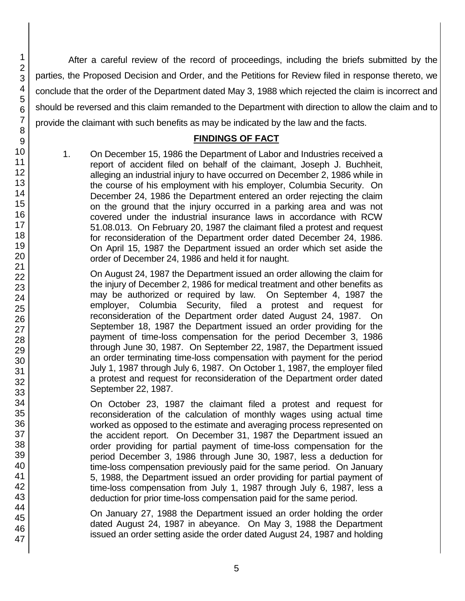After a careful review of the record of proceedings, including the briefs submitted by the parties, the Proposed Decision and Order, and the Petitions for Review filed in response thereto, we conclude that the order of the Department dated May 3, 1988 which rejected the claim is incorrect and should be reversed and this claim remanded to the Department with direction to allow the claim and to provide the claimant with such benefits as may be indicated by the law and the facts.

# **FINDINGS OF FACT**

1. On December 15, 1986 the Department of Labor and Industries received a report of accident filed on behalf of the claimant, Joseph J. Buchheit, alleging an industrial injury to have occurred on December 2, 1986 while in the course of his employment with his employer, Columbia Security. On December 24, 1986 the Department entered an order rejecting the claim on the ground that the injury occurred in a parking area and was not covered under the industrial insurance laws in accordance with RCW 51.08.013. On February 20, 1987 the claimant filed a protest and request for reconsideration of the Department order dated December 24, 1986. On April 15, 1987 the Department issued an order which set aside the order of December 24, 1986 and held it for naught.

On August 24, 1987 the Department issued an order allowing the claim for the injury of December 2, 1986 for medical treatment and other benefits as may be authorized or required by law. On September 4, 1987 the employer, Columbia Security, filed a protest and request for reconsideration of the Department order dated August 24, 1987. On September 18, 1987 the Department issued an order providing for the payment of time-loss compensation for the period December 3, 1986 through June 30, 1987. On September 22, 1987, the Department issued an order terminating time-loss compensation with payment for the period July 1, 1987 through July 6, 1987. On October 1, 1987, the employer filed a protest and request for reconsideration of the Department order dated September 22, 1987.

On October 23, 1987 the claimant filed a protest and request for reconsideration of the calculation of monthly wages using actual time worked as opposed to the estimate and averaging process represented on the accident report. On December 31, 1987 the Department issued an order providing for partial payment of time-loss compensation for the period December 3, 1986 through June 30, 1987, less a deduction for time-loss compensation previously paid for the same period. On January 5, 1988, the Department issued an order providing for partial payment of time-loss compensation from July 1, 1987 through July 6, 1987, less a deduction for prior time-loss compensation paid for the same period.

On January 27, 1988 the Department issued an order holding the order dated August 24, 1987 in abeyance. On May 3, 1988 the Department issued an order setting aside the order dated August 24, 1987 and holding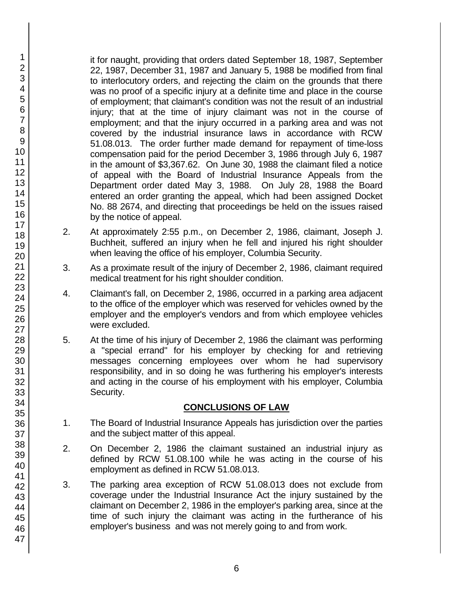it for naught, providing that orders dated September 18, 1987, September 22, 1987, December 31, 1987 and January 5, 1988 be modified from final to interlocutory orders, and rejecting the claim on the grounds that there was no proof of a specific injury at a definite time and place in the course of employment; that claimant's condition was not the result of an industrial injury; that at the time of injury claimant was not in the course of employment; and that the injury occurred in a parking area and was not covered by the industrial insurance laws in accordance with RCW 51.08.013. The order further made demand for repayment of time-loss compensation paid for the period December 3, 1986 through July 6, 1987 in the amount of \$3,367.62. On June 30, 1988 the claimant filed a notice of appeal with the Board of Industrial Insurance Appeals from the Department order dated May 3, 1988. On July 28, 1988 the Board entered an order granting the appeal, which had been assigned Docket No. 88 2674, and directing that proceedings be held on the issues raised by the notice of appeal.

- 2. At approximately 2:55 p.m., on December 2, 1986, claimant, Joseph J. Buchheit, suffered an injury when he fell and injured his right shoulder when leaving the office of his employer, Columbia Security.
- 3. As a proximate result of the injury of December 2, 1986, claimant required medical treatment for his right shoulder condition.
- 4. Claimant's fall, on December 2, 1986, occurred in a parking area adjacent to the office of the employer which was reserved for vehicles owned by the employer and the employer's vendors and from which employee vehicles were excluded.
- 5. At the time of his injury of December 2, 1986 the claimant was performing a "special errand" for his employer by checking for and retrieving messages concerning employees over whom he had supervisory responsibility, and in so doing he was furthering his employer's interests and acting in the course of his employment with his employer, Columbia Security.

## **CONCLUSIONS OF LAW**

- 1. The Board of Industrial Insurance Appeals has jurisdiction over the parties and the subject matter of this appeal.
- 2. On December 2, 1986 the claimant sustained an industrial injury as defined by RCW 51.08.100 while he was acting in the course of his employment as defined in RCW 51.08.013.
- 3. The parking area exception of RCW 51.08.013 does not exclude from coverage under the Industrial Insurance Act the injury sustained by the claimant on December 2, 1986 in the employer's parking area, since at the time of such injury the claimant was acting in the furtherance of his employer's business and was not merely going to and from work.